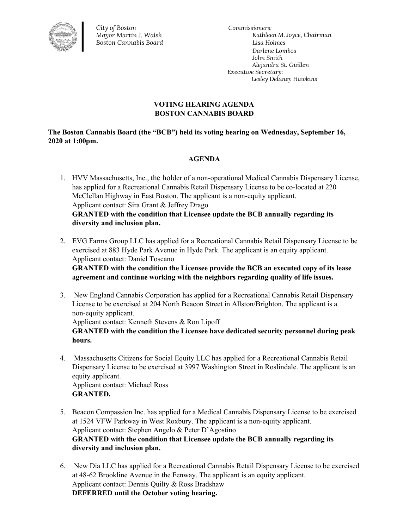

*City of Boston Mayor Martin J. Walsh Boston Cannabis Board*

*Commissioners: Kathleen M. Joyce, Chairman Lisa Holmes Darlene Lombos John Smith Alejandra St. Guillen Executive Secretary: Lesley Delaney Hawkins*

## **VOTING HEARING AGENDA BOSTON CANNABIS BOARD**

**The Boston Cannabis Board (the "BCB") held its voting hearing on Wednesday, September 16, 2020 at 1:00pm.**

## **AGENDA**

- 1. HVV Massachusetts, Inc., the holder of a non-operational Medical Cannabis Dispensary License, has applied for a Recreational Cannabis Retail Dispensary License to be co-located at 220 McClellan Highway in East Boston. The applicant is a non-equity applicant. Applicant contact: Sira Grant & Jeffrey Drago **GRANTED with the condition that Licensee update the BCB annually regarding its diversity and inclusion plan.**
- 2. EVG Farms Group LLC has applied for a Recreational Cannabis Retail Dispensary License to be exercised at 883 Hyde Park Avenue in Hyde Park. The applicant is an equity applicant. Applicant contact: Daniel Toscano

**GRANTED with the condition the Licensee provide the BCB an executed copy of its lease agreement and continue working with the neighbors regarding quality of life issues.**

- 3. New England Cannabis Corporation has applied for a Recreational Cannabis Retail Dispensary License to be exercised at 204 North Beacon Street in Allston/Brighton. The applicant is a non-equity applicant. Applicant contact: Kenneth Stevens & Ron Lipoff **GRANTED with the condition the Licensee have dedicated security personnel during peak hours.**
- 4. Massachusetts Citizens for Social Equity LLC has applied for a Recreational Cannabis Retail Dispensary License to be exercised at 3997 Washington Street in Roslindale. The applicant is an equity applicant. Applicant contact: Michael Ross **GRANTED.**
- 5. Beacon Compassion Inc. has applied for a Medical Cannabis Dispensary License to be exercised at 1524 VFW Parkway in West Roxbury. The applicant is a non-equity applicant. Applicant contact: Stephen Angelo & Peter D'Agostino **GRANTED with the condition that Licensee update the BCB annually regarding its diversity and inclusion plan.**
- 6. New Dia LLC has applied for a Recreational Cannabis Retail Dispensary License to be exercised at 48-62 Brookline Avenue in the Fenway. The applicant is an equity applicant. Applicant contact: Dennis Quilty & Ross Bradshaw **DEFERRED until the October voting hearing.**